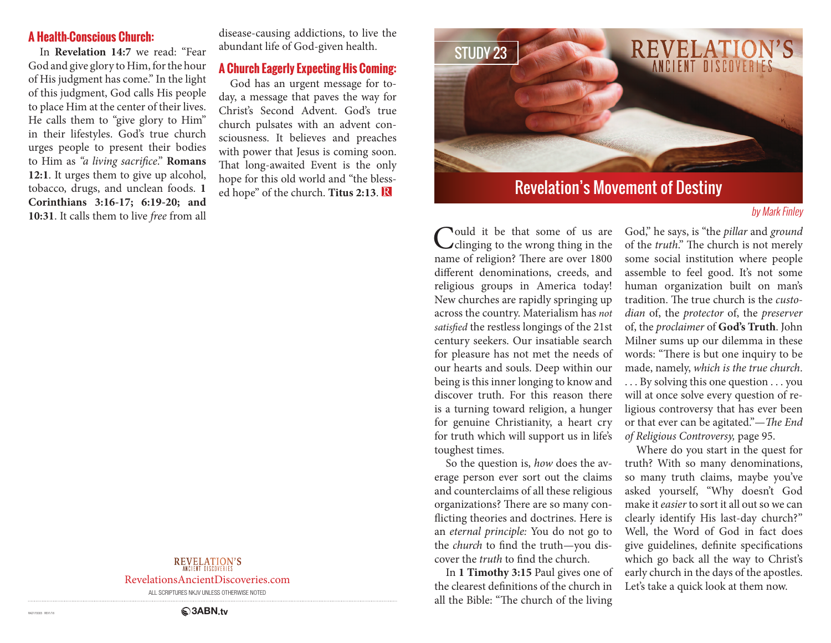#### **A Health-Conscious Church:**

In **Revelation 14:7** we read: "Fear God and give glory to Him, for the hour of His judgment has come." In the light of this judgment, God calls His people to place Him at the center of their lives. He calls them to "give glory to Him" in their lifestyles. God's true church urges people to present their bodies to Him as *"a living sacrifice*." **Romans 12:1**. It urges them to give up alcohol, tobacco, drugs, and unclean foods. **1 Corinthians 3:16-17; 6:19-20; and 10:31**. It calls them to live *free* from all disease-causing addictions, to live the abundant life of God-given health.

#### **A Church Eagerly Expecting His Coming:**

God has an urgent message for today, a message that paves the way for Christ's Second Advent. God's true church pulsates with an advent consciousness. It believes and preaches with power that Jesus is coming soon. That long-awaited Event is the only hope for this old world and "the blessed hope" of the church. **Titus 2:13**.



# Revelation's Movement of Destiny

#### by Mark Finley

Could it be that some of us are<br>
clinging to the wrong thing in the name of religion? There are over 1800 different denominations, creeds, and religious groups in America today! New churches are rapidly springing up across the country. Materialism has *not satisfied* the restless longings of the 21st century seekers. Our insatiable search for pleasure has not met the needs of our hearts and souls. Deep within our being is this inner longing to know and discover truth. For this reason there is a turning toward religion, a hunger for genuine Christianity, a heart cry for truth which will support us in life's toughest times.

So the question is, *how* does the average person ever sort out the claims and counterclaims of all these religious organizations? There are so many conflicting theories and doctrines. Here is an *eternal principle:* You do not go to the *church* to find the truth—you discover the *truth* to find the church.

In **1 Timothy 3:15** Paul gives one of the clearest definitions of the church in all the Bible: "The church of the living

God," he says, is "the *pillar* and *ground*  of the *truth*." The church is not merely some social institution where people assemble to feel good. It's not some human organization built on man's tradition. The true church is the *custodian* of, the *protector* of, the *preserver*  of, the *proclaimer* of **God's Truth**. John Milner sums up our dilemma in these words: "There is but one inquiry to be made, namely, *which is the true church*. . . . By solving this one question . . . you will at once solve every question of religious controversy that has ever been or that ever can be agitated."—*The End of Religious Controversy,* page 95.

Where do you start in the quest for truth? With so many denominations, so many truth claims, maybe you've asked yourself, "Why doesn't God make it *easier* to sort it all out so we can clearly identify His last-day church?" Well, the Word of God in fact does give guidelines, definite specifications which go back all the way to Christ's early church in the days of the apostles. Let's take a quick look at them now.

## **REVELATION'S**

RevelationsAncientDiscoveries.com

ALL SCRIPTURES NKJV UNLESS OTHERWISE NOTED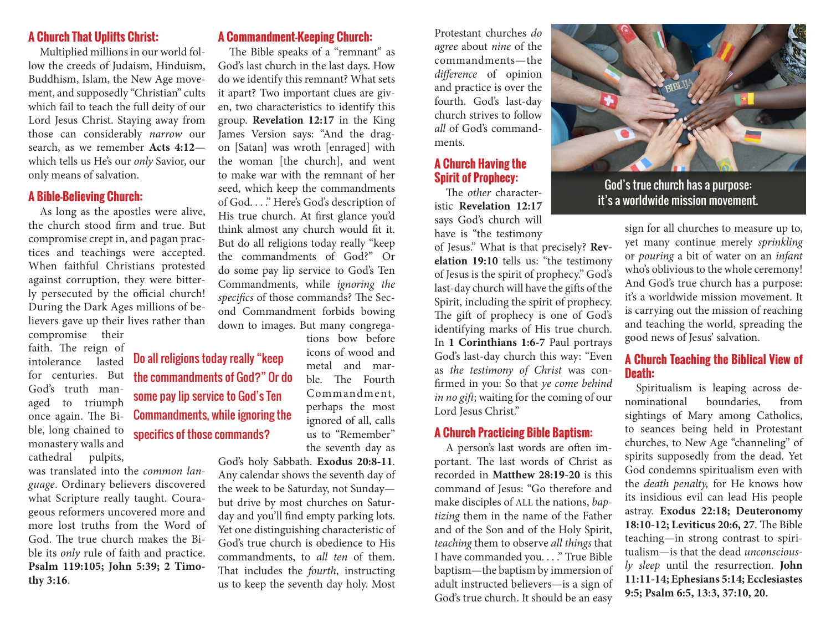### **A Church That Uplifts Christ:**

Multiplied millions in our world follow the creeds of Judaism, Hinduism, Buddhism, Islam, the New Age movement, and supposedly "Christian" cults which fail to teach the full deity of our Lord Jesus Christ. Staying away from those can considerably *narrow* our search, as we remember **Acts 4:12** which tells us He's our *only* Savior, our only means of salvation.

### **A Bible-Believing Church:**

As long as the apostles were alive, the church stood firm and true. But compromise crept in, and pagan practices and teachings were accepted. When faithful Christians protested against corruption, they were bitterly persecuted by the official church! During the Dark Ages millions of believers gave up their lives rather than compromise their

faith. The reign of intolerance lasted for centuries. But God's truth managed to triumph once again. The Bible, long chained to monastery walls and cathedral pulpits,

was translated into the *common language*. Ordinary believers discovered what Scripture really taught. Courageous reformers uncovered more and more lost truths from the Word of God. The true church makes the Bible its *only* rule of faith and practice. **Psalm 119:105; John 5:39; 2 Timothy 3:16**.

**A Commandment-Keeping Church:**

The Bible speaks of a "remnant" as God's last church in the last days. How do we identify this remnant? What sets it apart? Two important clues are given, two characteristics to identify this group. **Revelation 12:17** in the King James Version says: "And the dragon [Satan] was wroth [enraged] with the woman [the church], and went to make war with the remnant of her seed, which keep the commandments of God. . . ." Here's God's description of His true church. At first glance you'd think almost any church would fit it. But do all religions today really "keep the commandments of God?" Or do some pay lip service to God's Ten Commandments, while *ignoring the specifics* of those commands? The Second Commandment forbids bowing down to images. But many congrega-

tions bow before

icons of wood and metal and marble. The Fourth Commandment, perhaps the most ignored of all, calls us to "Remember" the seventh day as Do all religions today really "keep the commandments of God?" Or do some pay lip service to God's Ten Commandments, while ignoring the specifics of those commands?

> God's holy Sabbath. **Exodus 20:8-11**. Any calendar shows the seventh day of the week to be Saturday, not Sunday but drive by most churches on Saturday and you'll find empty parking lots. Yet one distinguishing characteristic of God's true church is obedience to His commandments, to *all ten* of them. That includes the *fourth*, instructing us to keep the seventh day holy. Most

Protestant churches *do agree* about *nine* of the commandments—the *difference* of opinion and practice is over the fourth. God's last-day church strives to follow *all* of God's commandments.

#### **A Church Having the Spirit of Prophecy:**

The *other* characteristic **Revelation 12:17** says God's church will have is "the testimony

of Jesus." What is that precisely? **Revelation 19:10** tells us: "the testimony of Jesus is the spirit of prophecy." God's last-day church will have the gifts of the Spirit, including the spirit of prophecy. The gift of prophecy is one of God's identifying marks of His true church. In **1 Corinthians 1:6-7** Paul portrays God's last-day church this way: "Even as *the testimony of Christ* was confirmed in you: So that *ye come behind in no gift*; waiting for the coming of our Lord Jesus Christ."

### **A Church Practicing Bible Baptism:**

A person's last words are often important. The last words of Christ as recorded in **Matthew 28:19-20** is this command of Jesus: "Go therefore and make disciples of ALL the nations, *baptizing* them in the name of the Father and of the Son and of the Holy Spirit, *teaching* them to observe *all things* that I have commanded you. . . ." True Bible baptism—the baptism by immersion of adult instructed believers—is a sign of God's true church. It should be an easy



God's true church has a purpose: it's a worldwide mission movement.

sign for all churches to measure up to, yet many continue merely *sprinkling*  or *pouring* a bit of water on an *infant*  who's oblivious to the whole ceremony! And God's true church has a purpose: it's a worldwide mission movement. It is carrying out the mission of reaching and teaching the world, spreading the good news of Jesus' salvation.

#### **A Church Teaching the Biblical View of Death:**

Spiritualism is leaping across denominational boundaries, from sightings of Mary among Catholics, to seances being held in Protestant churches, to New Age "channeling" of spirits supposedly from the dead. Yet God condemns spiritualism even with the *death penalty,* for He knows how its insidious evil can lead His people astray. **Exodus 22:18; Deuteronomy 18:10-12; Leviticus 20:6, 27**. The Bible teaching—in strong contrast to spiritualism—is that the dead *unconsciously sleep* until the resurrection. **John 11:11-14; Ephesians 5:14; Ecclesiastes 9:5; Psalm 6:5, 13:3, 37:10, 20.**